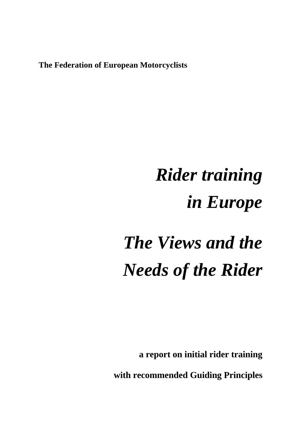**The Federation of European Motorcyclists**

# *Rider training in Europe The Views and the Needs of the Rider*

**a report on initial rider training**

**with recommended Guiding Principles**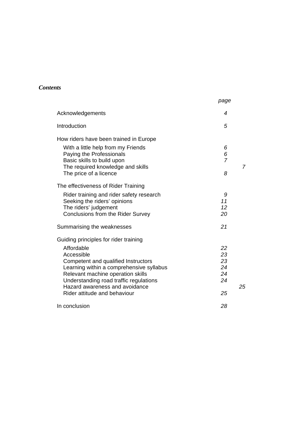# *Contents*

|                                                                                                                                                                                            | page                             |
|--------------------------------------------------------------------------------------------------------------------------------------------------------------------------------------------|----------------------------------|
| Acknowledgements                                                                                                                                                                           | 4                                |
| Introduction                                                                                                                                                                               | 5                                |
| How riders have been trained in Europe<br>With a little help from my Friends<br>Paying the Professionals<br>Basic skills to build upon                                                     | 6<br>6<br>$\overline{7}$         |
| The required knowledge and skills<br>The price of a licence                                                                                                                                | 7<br>8                           |
| The effectiveness of Rider Training                                                                                                                                                        |                                  |
| Rider training and rider safety research<br>Seeking the riders' opinions<br>The riders' judgement                                                                                          | 9<br>11<br>12                    |
| Conclusions from the Rider Survey                                                                                                                                                          | 20                               |
| Summarising the weaknesses                                                                                                                                                                 | 21                               |
| Guiding principles for rider training                                                                                                                                                      |                                  |
| Affordable<br>Accessible<br>Competent and qualified Instructors<br>Learning within a comprehensive syllabus<br>Relevant machine operation skills<br>Understanding road traffic regulations | 22<br>23<br>23<br>24<br>24<br>24 |
| Hazard awareness and avoidance<br>Rider attitude and behaviour                                                                                                                             | 25<br>25                         |
| In conclusion                                                                                                                                                                              | 28                               |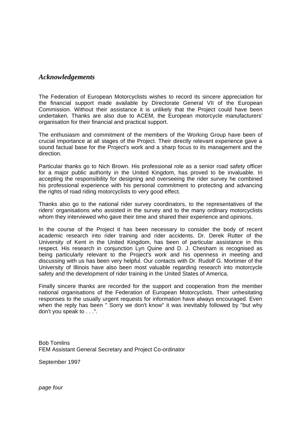# *Acknowledgements*

The Federation of European Motorcyclists wishes to record its sincere appreciation for the financial support made available by Directorate General VII of the European Commission. Without their assistance it is unlikely that the Project could have been undertaken. Thanks are also due to ACEM, the European motorcycle manufacturers' organisation for their financial and practical support.

The enthusiasm and commitment of the members of the Working Group have been of crucial importance at all stages of the Project. Their directly relevant experience gave a sound factual base for the Project's work and a sharp focus to its management and the direction.

Particular thanks go to Nich Brown. His professional role as a senior road safety officer for a major public authority in the United Kingdom, has proved to be invaluable. In accepting the responsibility for designing and overseeing the rider survey he combined his professional experience with his personal commitment to protecting and advancing the rights of road riding motorcyclists to very good effect.

Thanks also go to the national rider survey coordinators, to the representatives of the riders' organisations who assisted in the survey and to the many ordinary motorcyclists whom they interviewed who gave their time and shared their experience and opinions.

In the course of the Project it has been necessary to consider the body of recent academic research into rider training and rider accidents. Dr. Derek Rutter of the University of Kent in the United Kingdom, has been of particular assistance in this respect. His research in conjunction Lyn Quine and D. J. Chesham is recognised as being particularly relevant to the Project's work and his openness in meeting and discussing with us has been very helpful. Our contacts with Dr. Rudolf G. Mortimer of the University of Illinois have also been most valuable regarding research into motorcycle safety and the development of rider training in the United States of America.

Finally sincere thanks are recorded for the support and cooperation from the member national organisations of the Federation of European Motorcyclists. Their unhesitating responses to the usually urgent requests for information have always encouraged. Even when the reply has been " Sorry we don't know" it was inevitably followed by "but why don't you speak to . . .".

Bob Tomlins FEM Assistant General Secretary and Project Co-ordinator

September 1997

*page four*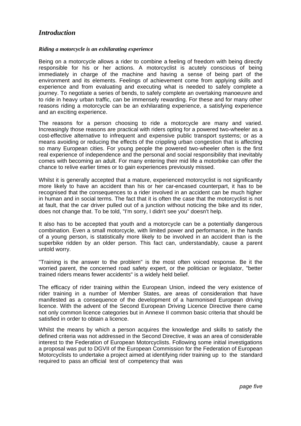# *Introduction*

# *Riding a motorcycle is an exhilarating experience*

Being on a motorcycle allows a rider to combine a feeling of freedom with being directly responsible for his or her actions. A motorcyclist is acutely conscious of being immediately in charge of the machine and having a sense of being part of the environment and its elements. Feelings of achievement come from applying skills and experience and from evaluating and executing what is needed to safely complete a journey. To negotiate a series of bends, to safely complete an overtaking manoeuvre and to ride in heavy urban traffic, can be immensely rewarding. For these and for many other reasons riding a motorcycle can be an exhilarating experience, a satisfying experience and an exciting experience.

The reasons for a person choosing to ride a motorcycle are many and varied. Increasingly those reasons are practical with riders opting for a powered two-wheeler as a cost-effective alternative to infrequent and expensive public transport systems; or as a means avoiding or reducing the effects of the crippling urban congestion that is affecting so many European cities. For young people the powered two-wheeler often is the first real experience of independence and the personal and social responsibility that inevitably comes with becoming an adult. For many entering their mid life a motorbike can offer the chance to relive earlier times or to gain experiences previously missed.

Whilst it is generally accepted that a mature, experienced motorcyclist is not significantly more likely to have an accident than his or her car-encased counterpart, it has to be recognised that the consequences to a rider involved in an accident can be much higher in human and in social terms. The fact that it is often the case that the motorcyclist is not at fault, that the car driver pulled out of a junction without noticing the bike and its rider, does not change that. To be told, "I'm sorry, I didn't see you" doesn't help.

It also has to be accepted that youth and a motorcycle can be a potentially dangerous combination. Even a small motorcycle, with limited power and performance, in the hands of a young person, is statistically more likely to be involved in an accident than is the superbike ridden by an older person. This fact can, understandably, cause a parent untold worry.

"Training is the answer to the problem" is the most often voiced response. Be it the worried parent, the concerned road safety expert, or the politician or legislator, "better trained riders means fewer accidents" is a widely held belief.

The efficacy of rider training within the European Union, indeed the very existence of rider training in a number of Member States, are areas of consideration that have manifested as a consequence of the development of a harmonised European driving licence. With the advent of the Second European Driving Licence Directive there came not only common licence categories but in Annexe II common basic criteria that should be satisfied in order to obtain a licence.

Whilst the means by which a person acquires the knowledge and skills to satisfy the defined criteria was not addressed in the Second Directive, it was an area of considerable interest to the Federation of European Motorcyclists. Following some initial investigations a proposal was put to DGVII of the European Commission for the Federation of European Motorcyclists to undertake a project aimed at identifying rider training up to the standard required to pass an official test of competency that was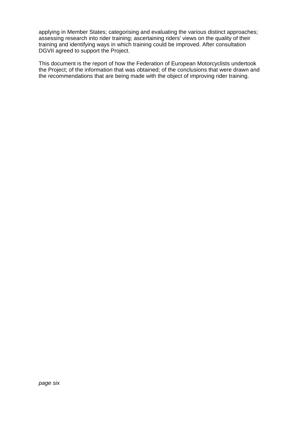applying in Member States; categorising and evaluating the various distinct approaches; assessing research into rider training; ascertaining riders' views on the quality of their training and identifying ways in which training could be improved. After consultation DGVII agreed to support the Project.

This document is the report of how the Federation of European Motorcyclists undertook the Project; of the information that was obtained; of the conclusions that were drawn and the recommendations that are being made with the object of improving rider training.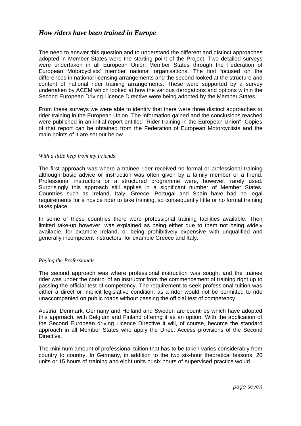# *How riders have been trained in Europe*

The need to answer this question and to understand the different and distinct approaches adopted in Member States were the starting point of the Project. Two detailed surveys were undertaken in all European Union Member States through the Federation of European Motorcyclists' member national organisations. The first focused on the differences in national licensing arrangements and the second looked at the structure and content of national rider training arrangements. These were supported by a survey undertaken by ACEM which looked at how the various derogations and options within the Second European Driving Licence Directive were being adopted by the Member States.

From these surveys we were able to identify that there were three distinct approaches to rider training in the European Union. The information gained and the conclusions reached were published in an initial report entitled "Rider training in the European Union". Copies of that report can be obtained from the Federation of European Motorcyclists and the main points of it are set out below.

# *With a little help from my Friends*

The first approach was where a trainee rider received no formal or professional training although basic advice or instruction was often given by a family member or a friend. Professional instructors or a structured programme were, however, rarely used. Surprisingly this approach still applies in a significant number of Member States. Countries such as Ireland, Italy, Greece, Portugal and Spain have had no legal requirements for a novice rider to take training, so consequently little or no formal training takes place.

In some of these countries there were professional training facilities available. Their limited take-up however, was explained as being either due to them not being widely available, for example Ireland, or being prohibitively expensive with unqualified and generally incompetent instructors, for example Greece and Italy.

# *Paying the Professionals*

The second approach was where professional instruction was sought and the trainee rider was under the control of an instructor from the commencement of training right up to passing the official test of competency. The requirement to seek professional tuition was either a direct or implicit legislative condition, as a rider would not be permitted to ride unaccompanied on public roads without passing the official test of competency.

Austria, Denmark, Germany and Holland and Sweden are countries which have adopted this approach, with Belgium and Finland offering it as an option. With the application of the Second European driving Licence Directive it will, of course, become the standard approach in all Member States who apply the Direct Access provisions of the Second Directive.

The minimum amount of professional tuition that has to be taken varies considerably from country to country. In Germany, in addition to the two six-hour theoretical lessons, 20 units or 15 hours of training and eight units or six hours of supervised practice would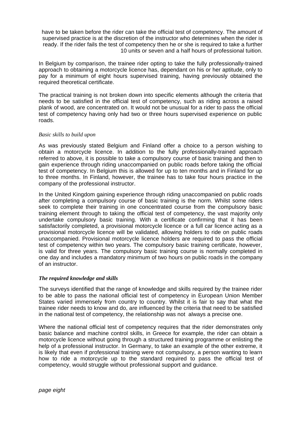have to be taken before the rider can take the official test of competency. The amount of supervised practice is at the discretion of the instructor who determines when the rider is ready. If the rider fails the test of competency then he or she is required to take a further 10 units or seven and a half hours of professional tuition.

In Belgium by comparison, the trainee rider opting to take the fully professionally-trained approach to obtaining a motorcycle licence has, dependant on his or her aptitude, only to pay for a minimum of eight hours supervised training, having previously obtained the required theoretical certificate.

The practical training is not broken down into specific elements although the criteria that needs to be satisfied in the official test of competency, such as riding across a raised plank of wood, are concentrated on. It would not be unusual for a rider to pass the official test of competency having only had two or three hours supervised experience on public roads.

# *Basic skills to build upon*

As was previously stated Belgium and Finland offer a choice to a person wishing to obtain a motorcycle licence. In addition to the fully professionally-trained approach referred to above, it is possible to take a compulsory course of basic training and then to gain experience through riding unaccompanied on public roads before taking the official test of competency. In Belgium this is allowed for up to ten months and in Finland for up to three months. In Finland, however, the trainee has to take four hours practice in the company of the professional instructor.

In the United Kingdom gaining experience through riding unaccompanied on public roads after completing a compulsory course of basic training is the norm. Whilst some riders seek to complete their training in one concentrated course from the compulsory basic training element through to taking the official test of competency, the vast majority only undertake compulsory basic training. With a certificate confirming that it has been satisfactorily completed, a provisional motorcycle licence or a full car licence acting as a provisional motorcycle licence will be validated, allowing holders to ride on public roads unaccompanied. Provisional motorcycle licence holders are required to pass the official test of competency within two years. The compulsory basic training certificate, however, is valid for three years. The compulsory basic training course is normally completed in one day and includes a mandatory minimum of two hours on public roads in the company of an instructor.

# *The required knowledge and skills*

The surveys identified that the range of knowledge and skills required by the trainee rider to be able to pass the national official test of competency in European Union Member States varied immensely from country to country. Whilst it is fair to say that what the trainee rider needs to know and do, are influenced by the criteria that need to be satisfied in the national test of competency, the relationship was not always a precise one.

Where the national official test of competency requires that the rider demonstrates only basic balance and machine control skills, in Greece for example, the rider can obtain a motorcycle licence without going through a structured training programme or enlisting the help of a professional instructor. In Germany, to take an example of the other extreme, it is likely that even if professional training were not compulsory, a person wanting to learn how to ride a motorcycle up to the standard required to pass the official test of competency, would struggle without professional support and guidance.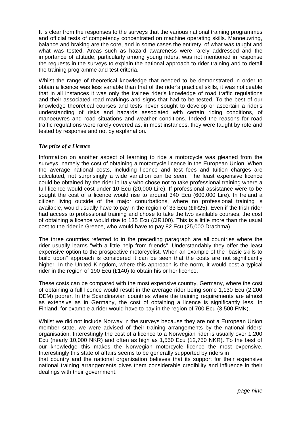It is clear from the responses to the surveys that the various national training programmes and official tests of competency concentrated on machine operating skills. Manoeuvring, balance and braking are the core, and in some cases the entirety, of what was taught and what was tested. Areas such as hazard awareness were rarely addressed and the importance of attitude, particularly among young riders, was not mentioned in response the requests in the surveys to explain the national approach to rider training and to detail the training programme and test criteria.

Whilst the range of theoretical knowledge that needed to be demonstrated in order to obtain a licence was less variable than that of the rider's practical skills, it was noticeable that in all instances it was only the trainee rider's knowledge of road traffic regulations and their associated road markings and signs that had to be tested. To the best of our knowledge theoretical courses and tests never sought to develop or ascertain a rider's understanding of risks and hazards associated with certain riding conditions, of manoeuvres and road situations and weather conditions. Indeed the reasons for road traffic regulations were rarely covered as, in most instances, they were taught by rote and tested by response and not by explanation.

# *The price of a Licence*

Information on another aspect of learning to ride a motorcycle was gleaned from the surveys, namely the cost of obtaining a motorcycle licence in the European Union. When the average national costs, including licence and test fees and tuition charges are calculated, not surprisingly a wide variation can be seen. The least expensive licence could be obtained by the rider in Italy who chose not to take professional training where a full licence would cost under 10 Ecu (20,000 Lire). If professional assistance were to be sought the cost of a licence would rise to around 340 Ecu (600,000 Lire). In Ireland a citizen living outside of the major conurbations, where no professional training is available, would usually have to pay in the region of 33 Ecu (£IR25). Even if the Irish rider had access to professional training and chose to take the two available courses, the cost of obtaining a licence would rise to 135 Ecu (£IR100). This is a little more than the usual cost to the rider in Greece, who would have to pay 82 Ecu (25,000 Drachma).

The three countries referred to in the preceding paragraph are all countries where the rider usually learns "with a little help from friends". Understandably they offer the least expensive option to the prospective motorcyclist. When an example of the "basic skills to build upon" approach is considered it can be seen that the costs are not significantly higher. In the United Kingdom, where this approach is the norm, it would cost a typical rider in the region of 190 Ecu (£140) to obtain his or her licence.

These costs can be compared with the most expensive country, Germany, where the cost of obtaining a full licence would result in the average rider being some 1,130 Ecu (2,200 DEM) poorer. In the Scandinavian countries where the training requirements are almost as extensive as in Germany, the cost of obtaining a licence is significantly less. In Finland, for example a rider would have to pay in the region of 700 Ecu (3,500 FMK).

Whilst we did not include Norway in the surveys because they are not a European Union member state, we were advised of their training arrangements by the national riders' organisation. Interestingly the cost of a licence to a Norwegian rider is usually over 1,200 Ecu (nearly 10,000 NKR) and often as high as 1,550 Ecu (12,750 NKR). To the best of our knowledge this makes the Norwegian motorcycle licence the most expensive. Interestingly this state of affairs seems to be generally supported by riders in

that country and the national organisation believes that its support for their expensive national training arrangements gives them considerable credibility and influence in their dealings with their government.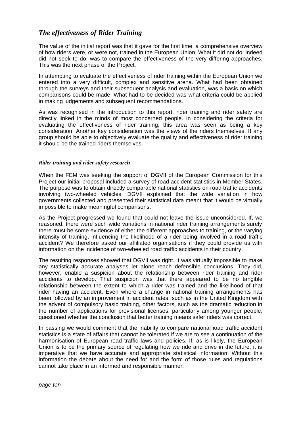# *The effectiveness of Rider Training*

The value of the initial report was that it gave for the first time, a comprehensive overview of how riders were, or were not, trained in the European Union. What it did not do, indeed did not seek to do, was to compare the effectiveness of the very differing approaches. This was the next phase of the Project.

In attempting to evaluate the effectiveness of rider training within the European Union we entered into a very difficult, complex and sensitive arena. What had been obtained through the surveys and their subsequent analysis and evaluation, was a basis on which comparisons could be made. What had to be decided was what criteria could be applied in making judgements and subsequent recommendations.

As was recognised in the introduction to this report, rider training and rider safety are directly linked in the minds of most concerned people. In considering the criteria for evaluating the effectiveness of rider training, this area was seen as being a key consideration. Another key consideration was the views of the riders themselves. If any group should be able to objectively evaluate the quality and effectiveness of rider training it should be the trained riders themselves.

# *Rider training and rider safety research*

When the FEM was seeking the support of DGVII of the European Commission for this Project our initial proposal included a survey of road accident statistics in Member States. The purpose was to obtain directly comparable national statistics on road traffic accidents involving two-wheeled vehicles. DGVII explained that the wide variation in how governments collected and presented their statistical data meant that it would be virtually impossible to make meaningful comparisons.

As the Project progressed we found that could not leave the issue unconsidered. If, we reasoned, there were such wide variations in national rider training arrangements surely there must be some evidence of either the different approaches to training, or the varying intensity of training, influencing the likelihood of a rider being involved in a road traffic accident? We therefore asked our affiliated organisations if they could provide us with information on the incidence of two-wheeled road traffic accidents in their country.

The resulting responses showed that DGVII was right. It was virtually impossible to make any statistically accurate analyses let alone reach defensible conclusions. They did, however, enable a suspicion about the relationship between rider training and rider accidents to develop. That suspicion was that there appeared to be no tangible relationship between the extent to which a rider was trained and the likelihood of that rider having an accident. Even where a change in national training arrangements has been followed by an improvement in accident rates, such as in the United Kingdom with the advent of compulsory basic training, other factors, such as the dramatic reduction in the number of applications for provisional licenses, particularly among younger people, questioned whether the conclusion that better training means safer riders was correct.

In passing we would comment that the inability to compare national road traffic accident statistics is a state of affairs that cannot be tolerated if we are to see a continuation of the harmonisation of European road traffic laws and policies. If, as is likely, the European Union is to be the primary source of regulating how we ride and drive in the future, it is imperative that we have accurate and appropriate statistical information. Without this information the debate about the need for and the form of those rules and regulations cannot take place in an informed and responsible manner.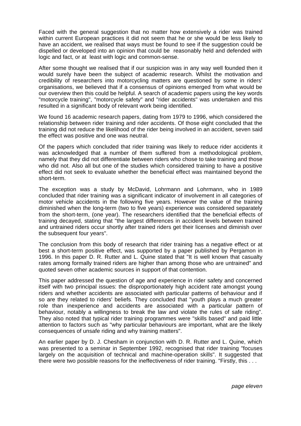Faced with the general suggestion that no matter how extensively a rider was trained within current European practices it did not seem that he or she would be less likely to have an accident, we realised that ways must be found to see if the suggestion could be dispelled or developed into an opinion that could be reasonably held and defended with logic and fact, or at least with logic and common-sense.

After some thought we realised that if our suspicion was in any way well founded then it would surely have been the subject of academic research. Whilst the motivation and credibility of researchers into motorcycling matters are questioned by some in riders' organisations, we believed that if a consensus of opinions emerged from what would be our overview then this could be helpful. A search of academic papers using the key words "motorcycle training", "motorcycle safety" and "rider accidents" was undertaken and this resulted in a significant body of relevant work being identified.

We found 16 academic research papers, dating from 1979 to 1996, which considered the relationship between rider training and rider accidents. Of those eight concluded that the training did not reduce the likelihood of the rider being involved in an accident, seven said the effect was positive and one was neutral.

Of the papers which concluded that rider training was likely to reduce rider accidents it was acknowledged that a number of them suffered from a methodological problem, namely that they did not differentiate between riders who chose to take training and those who did not. Also all but one of the studies which considered training to have a positive effect did not seek to evaluate whether the beneficial effect was maintained beyond the short-term.

The exception was a study by McDavid, Lohrmann and Lohrmann, who in 1989 concluded that rider training was a significant indicator of involvement in all categories of motor vehicle accidents in the following five years. However the value of the training diminished when the long-term (two to five years) experience was considered separately from the short-term, (one year). The researchers identified that the beneficial effects of training decayed, stating that "the largest differences in accident levels between trained and untrained riders occur shortly after trained riders get their licenses and diminish over the subsequent four years".

The conclusion from this body of research that rider training has a negative effect or at best a short-term positive effect, was supported by a paper published by Pergamon in 1996. In this paper D. R. Rutter and L. Quine stated that "It is well known that casualty rates among formally trained riders are higher than among those who are untrained" and quoted seven other academic sources in support of that contention.

This paper addressed the question of age and experience in rider safety and concerned itself with two principal issues: the disproportionately high accident rate amongst young riders and whether accidents are associated with particular patterns of behaviour and if so are they related to riders' beliefs. They concluded that "youth plays a much greater role than inexperience and accidents are associated with a particular pattern of behaviour, notably a willingness to break the law and violate the rules of safe riding". They also noted that typical rider training programmes were "skills based" and paid little attention to factors such as "why particular behaviours are important, what are the likely consequences of unsafe riding and why training matters".

An earlier paper by D. J. Chesham in conjunction with D. R. Rutter and L. Quine, which was presented to a seminar in September 1992, recognised that rider training "focuses largely on the acquisition of technical and machine-operation skills". It suggested that there were two possible reasons for the ineffectiveness of rider training. "Firstly, this . . .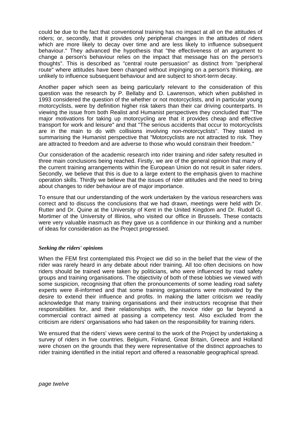could be due to the fact that conventional training has no impact at all on the attitudes of riders; or, secondly, that it provides only peripheral changes in the attitudes of riders which are more likely to decay over time and are less likely to influence subsequent behaviour." They advanced the hypothesis that "the effectiveness of an argument to change a person's behaviour relies on the impact that message has on the person's thoughts". This is described as "central route persuasion" as distinct from "peripheral route" where attitudes have been changed without impinging on a person's thinking, are unlikely to influence subsequent behaviour and are subject to short-term decay.

Another paper which seen as being particularly relevant to the consideration of this question was the research by P. Bellaby and D. Lawrenson, which when published in 1993 considered the question of the whether or not motorcyclists, and in particular young motorcyclists, were by definition higher risk takers than their car driving counterparts. In viewing the issue from both Realist and Humanist perspectives they concluded that "The major motivations for taking up motorcycling are that it provides cheap and effective transport for work and leisure" and that "The serious accidents that occur to motorcyclists are in the main to do with collisions involving non-motorcyclists". They stated in summarising the Humanist perspective that "Motorcyclists are not attracted to risk. They are attracted to freedom and are adverse to those who would constrain their freedom."

Our consideration of the academic research into rider training and rider safety resulted in three main conclusions being reached. Firstly, we are of the general opinion that many of the current training arrangements within the European Union do not result in safer riders. Secondly, we believe that this is due to a large extent to the emphasis given to machine operation skills. Thirdly we believe that the issues of rider attitudes and the need to bring about changes to rider behaviour are of major importance.

To ensure that our understanding of the work undertaken by the various researchers was correct and to discuss the conclusions that we had drawn, meetings were held with Dr. Rutter and Dr. Quine at the University of Kent in the United Kingdom and Dr. Rudolf G. Mortimer of the University of Illinios, who visited our office in Brussels. These contacts were very valuable inasmuch as they gave us a confidence in our thinking and a number of ideas for consideration as the Project progressed.

# *Seeking the riders' opinions*

When the FEM first contemplated this Project we did so in the belief that the view of the rider was rarely heard in any debate about rider training. All too often decisions on how riders should be trained were taken by politicians, who were influenced by road safety groups and training organisations. The objectivity of both of these lobbies we viewed with some suspicion, recognising that often the pronouncements of some leading road safety experts were ill-informed and that some training organisations were motivated by the desire to extend their influence and profits. In making the latter criticism we readily acknowledge that many training organisations and their instructors recognise that their responsibilities for, and their relationships with, the novice rider go far beyond a commercial contract aimed at passing a competency test. Also excluded from the criticism are riders' organisations who had taken on the responsibility for training riders.

We ensured that the riders' views were central to the work of the Project by undertaking a survey of riders in five countries. Belgium, Finland, Great Britain, Greece and Holland were chosen on the grounds that they were representative of the distinct approaches to rider training identified in the initial report and offered a reasonable geographical spread.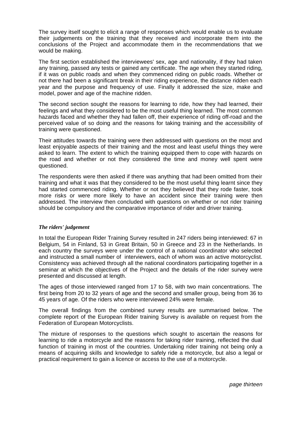The survey itself sought to elicit a range of responses which would enable us to evaluate their judgements on the training that they received and incorporate them into the conclusions of the Project and accommodate them in the recommendations that we would be making.

The first section established the interviewees' sex, age and nationality, if they had taken any training, passed any tests or gained any certificate. The age when they started riding, if it was on public roads and when they commenced riding on public roads. Whether or not there had been a significant break in their riding experience, the distance ridden each year and the purpose and frequency of use. Finally it addressed the size, make and model, power and age of the machine ridden.

The second section sought the reasons for learning to ride, how they had learned, their feelings and what they considered to be the most useful thing learned. The most common hazards faced and whether they had fallen off, their experience of riding off-road and the perceived value of so doing and the reasons for taking training and the accessibility of training were questioned.

Their attitudes towards the training were then addressed with questions on the most and least enjoyable aspects of their training and the most and least useful things they were asked to learn. The extent to which the training equipped them to cope with hazards on the road and whether or not they considered the time and money well spent were questioned.

The respondents were then asked if there was anything that had been omitted from their training and what it was that they considered to be the most useful thing learnt since they had started commenced riding. Whether or not they believed that they rode faster, took more risks or were more likely to have an accident since their training were then addressed. The interview then concluded with questions on whether or not rider training should be compulsory and the comparative importance of rider and driver training.

# *The riders' judgement*

In total the European Rider Training Survey resulted in 247 riders being interviewed: 67 in Belgium, 54 in Finland, 53 in Great Britain, 50 in Greece and 23 in the Netherlands. In each country the surveys were under the control of a national coordinator who selected and instructed a small number of interviewers, each of whom was an active motorcyclist. Consistency was achieved through all the national coordinators participating together in a seminar at which the objectives of the Project and the details of the rider survey were presented and discussed at length.

The ages of those interviewed ranged from 17 to 58, with two main concentrations. The first being from 20 to 32 years of age and the second and smaller group, being from 36 to 45 years of age. Of the riders who were interviewed 24% were female.

The overall findings from the combined survey results are summarised below. The complete report of the European Rider training Survey is available on request from the Federation of European Motorcyclists.

The mixture of responses to the questions which sought to ascertain the reasons for learning to ride a motorcycle and the reasons for taking rider training, reflected the dual function of training in most of the countries. Undertaking rider training not being only a means of acquiring skills and knowledge to safely ride a motorcycle, but also a legal or practical requirement to gain a licence or access to the use of a motorcycle.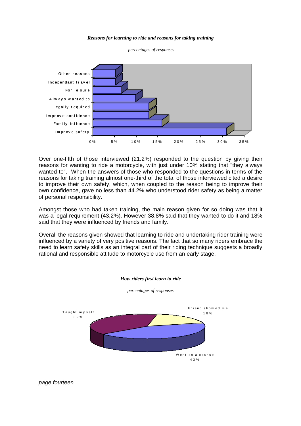#### *Reasons for learning to ride and reasons for taking training*



*percentages of responses*

Over one-fifth of those interviewed (21.2%) responded to the question by giving their reasons for wanting to ride a motorcycle, with just under 10% stating that "they always wanted to". When the answers of those who responded to the questions in terms of the reasons for taking training almost one-third of the total of those interviewed cited a desire to improve their own safety, which, when coupled to the reason being to improve their own confidence, gave no less than 44.2% who understood rider safety as being a matter of personal responsibility.

Amongst those who had taken training, the main reason given for so doing was that it was a legal requirement (43,2%). However 38.8% said that they wanted to do it and 18% said that they were influenced by friends and family.

Overall the reasons given showed that learning to ride and undertaking rider training were influenced by a variety of very positive reasons. The fact that so many riders embrace the need to learn safety skills as an integral part of their riding technique suggests a broadly rational and responsible attitude to motorcycle use from an early stage.



*page fourteen*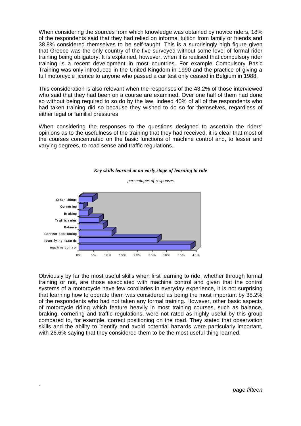When considering the sources from which knowledge was obtained by novice riders, 18% of the respondents said that they had relied on informal tuition from family or friends and 38.8% considered themselves to be self-taught. This is a surprisingly high figure given that Greece was the only country of the five surveyed without some level of formal rider training being obligatory. It is explained, however, when it is realised that compulsory rider training is a recent development in most countries. For example Compulsory Basic Training was only introduced in the United Kingdom in 1990 and the practice of giving a full motorcycle licence to anyone who passed a car test only ceased in Belgium in 1988.

This consideration is also relevant when the responses of the 43.2% of those interviewed who said that they had been on a course are examined. Over one half of them had done so without being required to so do by the law, indeed 40% of all of the respondents who had taken training did so because they wished to do so for themselves, regardless of either legal or familial pressures

When considering the responses to the questions designed to ascertain the riders' opinions as to the usefulness of the training that they had received, it is clear that most of the courses concentrated on the basic functions of machine control and, to lesser and varying degrees, to road sense and traffic regulations.



.

*Key skills learned at an early stage of learning to ride*

Obviously by far the most useful skills when first learning to ride, whether through formal training or not, are those associated with machine control and given that the control systems of a motorcycle have few corollaries in everyday experience, it is not surprising that learning how to operate them was considered as being the most important by 38.2% of the respondents who had not taken any formal training. However, other basic aspects of motorcycle riding which feature heavily in most training courses, such as balance, braking, cornering and traffic regulations, were not rated as highly useful by this group compared to, for example, correct positioning on the road. They stated that observation skills and the ability to identify and avoid potential hazards were particularly important, with 26.6% saying that they considered them to be the most useful thing learned.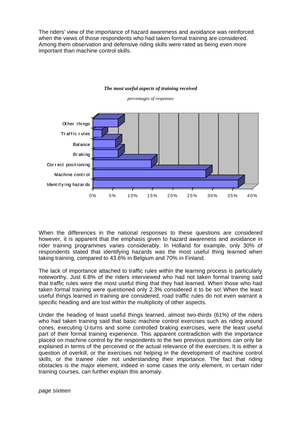The riders' view of the importance of hazard awareness and avoidance was reinforced when the views of those respondents who had taken formal training are considered. Among them observation and defensive riding skills were rated as being even more important than machine control skills.



When the differences in the national responses to these questions are considered however, it is apparent that the emphasis given to hazard awareness and avoidance in rider training programmes varies considerably. In Holland for example, only 30% of respondents stated that identifying hazards was the most useful thing learned when taking training, compared to 43.6% in Belgium and 70% in Finland.

The lack of importance attached to traffic rules within the learning process is particularly noteworthy. Just 6.8% of the riders interviewed who had not taken formal training said that traffic rules were the most useful thing that they had learned. When those who had taken formal training were questioned only 2.3% considered it to be so! When the least useful things learned in training are considered, road traffic rules do not even warrant a specific heading and are lost within the multiplicity of other aspects.

Under the heading of least useful things learned, almost two-thirds (61%) of the riders who had taken training said that basic machine control exercises such as riding around cones, executing U-turns and some controlled braking exercises, were the least useful part of their formal training experience. This apparent contradiction with the importance placed on machine control by the respondents to the two previous questions can only be explained in terms of the perceived or the actual relevance of the exercises. It is either a question of overkill, or the exercises not helping in the development of machine control skills, or the trainee rider not understanding their importance. The fact that riding obstacles is the major element, indeed in some cases the only element, in certain rider training courses, can further explain this anomaly.

*page sixteen*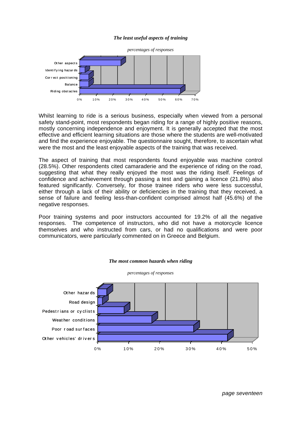#### *The least useful aspects of training*



Whilst learning to ride is a serious business, especially when viewed from a personal safety stand-point, most respondents began riding for a range of highly positive reasons, mostly concerning independence and enjoyment. It is generally accepted that the most effective and efficient learning situations are those where the students are well-motivated and find the experience enjoyable. The questionnaire sought, therefore, to ascertain what were the most and the least enjoyable aspects of the training that was received.

The aspect of training that most respondents found enjoyable was machine control (28.5%). Other respondents cited camaraderie and the experience of riding on the road, suggesting that what they really enjoyed the most was the riding itself. Feelings of confidence and achievement through passing a test and gaining a licence (21.8%) also featured significantly. Conversely, for those trainee riders who were less successful, either through a lack of their ability or deficiencies in the training that they received, a sense of failure and feeling less-than-confident comprised almost half (45.6%) of the negative responses.

Poor training systems and poor instructors accounted for 19.2% of all the negative responses. The competence of instructors, who did not have a motorcycle licence themselves and who instructed from cars, or had no qualifications and were poor communicators, were particularly commented on in Greece and Belgium.



#### *The most common hazards when riding*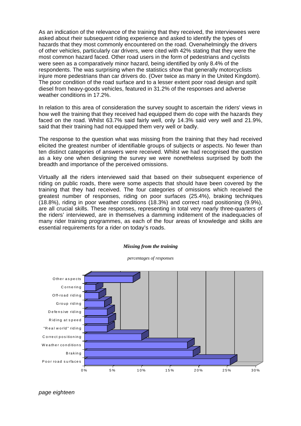As an indication of the relevance of the training that they received, the interviewees were asked about rheir subsequent riding experience and asked to identify the types of hazards that they most commonly encountered on the road. Overwhelmingly the drivers of other vehicles, particularly car drivers, were cited with 42% stating that they were the most common hazard faced. Other road users in the form of pedestrians and cyclists were seen as a comparatively minor hazard, being identified by only 8.4% of the respondents. The was surprising when the statistics show that generally motorcyclists injure more pedestrians than car drivers do. (Over twice as many in the United Kingdom). The poor condition of the road surface and to a lesser extent poor road design and spilt diesel from heavy-goods vehicles, featured in 31.2% of the responses and adverse weather conditions in 17.2%.

In relation to this area of consideration the survey sought to ascertain the riders' views in how well the training that they received had equipped them do cope with the hazards they faced on the road. Whilst 63.7% said fairly well, only 14.3% said very well and 21.9%, said that their training had not equipped them very well or badly.

The response to the question what was missing from the training that they had received elicited the greatest number of identifiable groups of subjects or aspects. No fewer than ten distinct categories of answers were received. Whilst we had recognised the question as a key one when designing the survey we were nonetheless surprised by both the breadth and importance of the perceived omissions.

Virtually all the riders interviewed said that based on their subsequent experience of riding on public roads, there were some aspects that should have been covered by the training that they had received. The four categories of omissions which received the greatest number of responses, riding on poor surfaces (25.4%), braking techniques (18.8%), riding in poor weather conditions (18.3%) and correct road positioning (9.9%), are all crucial skills. These responses, representing in total very nearly three-quarters of the riders' interviewed, are in themselves a damming inditement of the inadequacies of many rider training programmes, as each of the four areas of knowledge and skills are essential requirements for a rider on today's roads.

#### *Missing from the training*

*percentages of responses*



*page eighteen*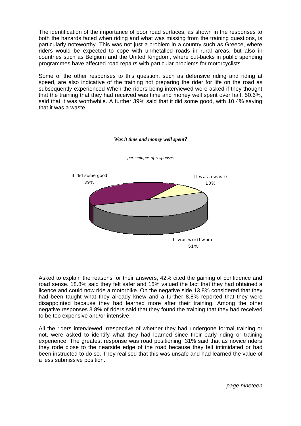The identification of the importance of poor road surfaces, as shown in the responses to both the hazards faced when riding and what was missing from the training questions, is particularly noteworthy. This was not just a problem in a country such as Greece, where riders would be expected to cope with unmetalled roads in rural areas, but also in countries such as Belgium and the United Kingdom, where cut-backs in public spending programmes have affected road repairs with particular problems for motorcyclists.

Some of the other responses to this question, such as defensive riding and riding at speed, are also indicative of the training not preparing the rider for life on the road as subsequently experienced When the riders being interviewed were asked if they thought that the training that they had received was time and money well spent over half, 50.6%, said that it was worthwhile. A further 39% said that it did some good, with 10.4% saying that it was a waste.



## *Was it time and money well spent?*

Asked to explain the reasons for their answers, 42% cited the gaining of confidence and road sense. 18.8% said they felt safer and 15% valued the fact that they had obtained a licence and could now ride a motorbike. On the negative side 13.8% considered that they had been taught what they already knew and a further 8.8% reported that they were disappointed because they had learned more after their training. Among the other negative responses 3.8% of riders said that they found the training that they had received to be too expensive and/or intensive.

All the riders interviewed irrespective of whether they had undergone formal training or not, were asked to identify what they had learned since their early riding or training experience. The greatest response was road positioning. 31% said that as novice riders they rode close to the nearside edge of the road because they felt intimidated or had been instructed to do so. They realised that this was unsafe and had learned the value of a less submissive position.

*page nineteen*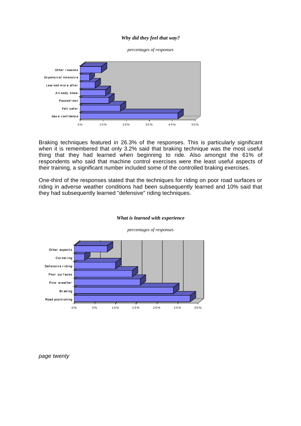#### *Why did they feel that way?*

*percentages of responses*



Braking techniques featured in 26.3% of the responses. This is particularly significant when it is remembered that only 3.2% said that braking technique was the most useful thing that they had learned when beginning to ride. Also amongst the 61% of respondents who said that machine control exercises were the least useful aspects of their training, a significant number included some of the controlled braking exercises.

One-third of the responses stated that the techniques for riding on poor road surfaces or riding in adverse weather conditions had been subsequently learned and 10% said that they had subsequently learned "defensive" riding techniques.



#### *What is learned with experience*

*percentages of responses*

*page twenty*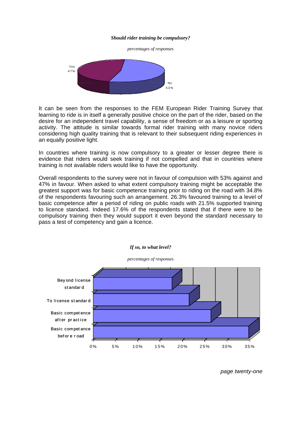#### *Should rider training be compulsory?*

*percentages of responses*



It can be seen from the responses to the FEM European Rider Training Survey that learning to ride is in itself a generally positive choice on the part of the rider, based on the desire for an independent travel capability, a sense of freedom or as a leisure or sporting activity. The attitude is similar towards formal rider training with many novice riders considering high quality training that is relevant to their subsequent riding experiences in an equally positive light.

In countries where training is now compulsory to a greater or lesser degree there is evidence that riders would seek training if not compelled and that in countries where training is not available riders would like to have the opportunity.

Overall respondents to the survey were not in favour of compulsion with 53% against and 47% in favour. When asked to what extent compulsory training might be acceptable the greatest support was for basic competence training prior to riding on the road with 34.8% of the respondents favouring such an arrangement. 26.3% favoured training to a level of basic competence after a period of riding on public roads with 21.5% supported training to licence standard. Indeed 17.6% of the respondents stated that if there were to be compulsory training then they would support it even beyond the standard necessary to pass a test of competency and gain a licence.



*page twenty-one*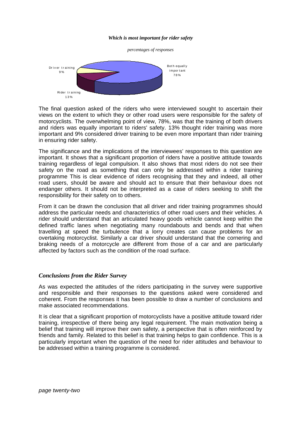#### *Which is most important for rider safety*



The final question asked of the riders who were interviewed sought to ascertain their views on the extent to which they or other road users were responsible for the safety of motorcyclists. The overwhelming point of view, 78%, was that the training of both drivers and riders was equally important to riders' safety. 13% thought rider training was more important and 9% considered driver training to be even more important than rider training in ensuring rider safety.

The significance and the implications of the interviewees' responses to this question are important. It shows that a significant proportion of riders have a positive attitude towards training regardless of legal compulsion. It also shows that most riders do not see their safety on the road as something that can only be addressed within a rider training programme This is clear evidence of riders recognising that they and indeed, all other road users, should be aware and should act to ensure that their behaviour does not endanger others. It should not be interpreted as a case of riders seeking to shift the responsibility for their safety on to others.

From it can be drawn the conclusion that all driver and rider training programmes should address the particular needs and characteristics of other road users and their vehicles. A rider should understand that an articulated heavy goods vehicle cannot keep within the defined traffic lanes when negotiating many roundabouts and bends and that when travelling at speed the turbulence that a lorry creates can cause problems for an overtaking motorcyclist. Similarly a car driver should understand that the cornering and braking needs of a motorcycle are different from those of a car and are particularly affected by factors such as the condition of the road surface.

# *Conclusions from the Rider Survey*

As was expected the attitudes of the riders participating in the survey were supportive and responsible and their responses to the questions asked were considered and coherent. From the responses it has been possible to draw a number of conclusions and make associated recommendations.

It is clear that a significant proportion of motorcyclists have a positive attitude toward rider training, irrespective of there being any legal requirement. The main motivation being a belief that training will improve their own safety, a perspective that is often reinforced by friends and family. Related to this belief is that training helps to gain confidence. This is a particularly important when the question of the need for rider attitudes and behaviour to be addressed within a training programme is considered.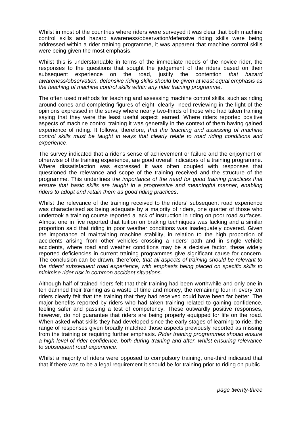Whilst in most of the countries where riders were surveyed it was clear that both machine control skills and hazard awareness/observation/defensive riding skills were being addressed within a rider training programme, it was apparent that machine control skills were being given the most emphasis.

Whilst this is understandable in terms of the immediate needs of the novice rider, the responses to the questions that sought the judgement of the riders based on their subsequent experience on the road, justify the contention *that hazard awareness/observation, defensive riding skills should be given at least equal emphasis as the teaching of machine control skills within any rider training programme*.

The often used methods for teaching and assessing machine control skills, such as riding around cones and completing figures of eight, clearly need reviewing in the light of the opinions expressed in the survey where nearly two-thirds of those who had taken training saying that they were the least useful aspect learned. Where riders reported positive aspects of machine control training it was generally in the context of them having gained experience of riding. It follows, therefore, *that the teaching and assessing of machine control skills must be taught in ways that clearly relate to road riding conditions and experience*.

The survey indicated that a rider's sense of achievement or failure and the enjoyment or otherwise of the training experience, are good overall indicators of a training programme. Where dissatisfaction was expressed it was often coupled with responses that questioned the relevance and scope of the training received and the structure of the programme. This underlines t*he importance of the need for good training practices that ensure that basic skills are taught in a progressive and meaningful manner, enabling riders to adopt and retain them as good riding practices*.

Whilst the relevance of the training received to the riders' subsequent road experience was characterised as being adequate by a majority of riders, one quarter of those who undertook a training course reported a lack of instruction in riding on poor road surfaces. Almost one in five reported that tuition on braking techniques was lacking and a similar proportion said that riding in poor weather conditions was inadequately covered. Given the importance of maintaining machine stability, in relation to the high proportion of accidents arising from other vehicles crossing a riders' path and in single vehicle accidents, where road and weather conditions may be a decisive factor, these widely reported deficiencies in current training programmes give significant cause for concern. The conclusion can be drawn, therefore*, that all aspects of training should be relevant to the riders' subsequent road experience, with emphasis being placed on specific skills to minimise rider risk in common accident situations.*

Although half of trained riders felt that their training had been worthwhile and only one in ten damned their training as a waste of time and money, the remaining four in every ten riders clearly felt that the training that they had received could have been far better. The major benefits reported by riders who had taken training related to gaining confidence, feeling safer and passing a test of competency. These outwardly positive responses, however, do not guarantee that riders are being properly equipped for life on the road. When asked what skills they had developed since the early stages of learning to ride, the range of responses given broadly matched those aspects previously reported as missing from the training or requiring further emphasis. *Rider training programmes should ensure a high level of rider confidence, both during training and after, whilst ensuring relevance to subsequent road experience*.

Whilst a majority of riders were opposed to compulsory training, one-third indicated that that if there was to be a legal requirement it should be for training prior to riding on public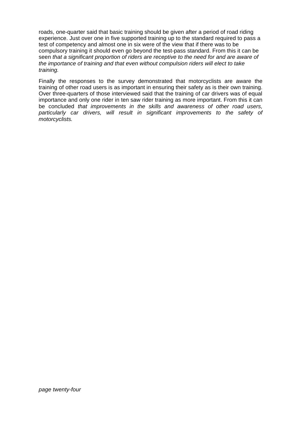roads, one-quarter said that basic training should be given after a period of road riding experience. Just over one in five supported training up to the standard required to pass a test of competency and almost one in six were of the view that if there was to be compulsory training it should even go beyond the test-pass standard. From this it can be seen *that a significant proportion of riders are receptive to the need for and are aware of the importance of training and that even without compulsion riders will elect to take training.*

Finally the responses to the survey demonstrated that motorcyclists are aware the training of other road users is as important in ensuring their safety as is their own training. Over three-quarters of those interviewed said that the training of car drivers was of equal importance and only one rider in ten saw rider training as more important. From this it can be concluded *that improvements in the skills and awareness of other road users, particularly car drivers, will result in significant improvements to the safety of motorcyclists.*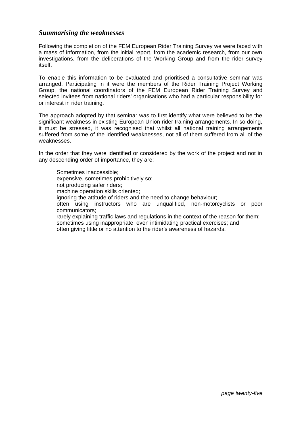# *Summarising the weaknesses*

Following the completion of the FEM European Rider Training Survey we were faced with a mass of information, from the initial report, from the academic research, from our own investigations, from the deliberations of the Working Group and from the rider survey itself.

To enable this information to be evaluated and prioritised a consultative seminar was arranged. Participating in it were the members of the Rider Training Project Working Group, the national coordinators of the FEM European Rider Training Survey and selected invitees from national riders' organisations who had a particular responsibility for or interest in rider training.

The approach adopted by that seminar was to first identify what were believed to be the significant weakness in existing European Union rider training arrangements. In so doing, it must be stressed, it was recognised that whilst all national training arrangements suffered from some of the identified weaknesses, not all of them suffered from all of the weaknesses.

In the order that they were identified or considered by the work of the project and not in any descending order of importance, they are:

Sometimes inaccessible; expensive, sometimes prohibitively so; not producing safer riders; machine operation skills oriented; ignoring the attitude of riders and the need to change behaviour; often using instructors who are unqualified, non-motorcyclists or poor communicators; rarely explaining traffic laws and regulations in the context of the reason for them; sometimes using inappropriate, even intimidating practical exercises; and often giving little or no attention to the rider's awareness of hazards.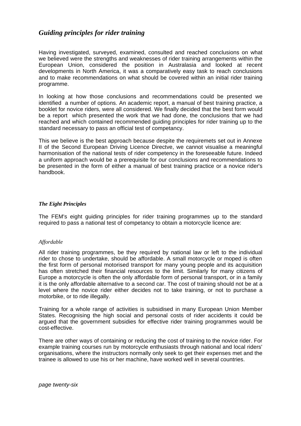# *Guiding principles for rider training*

Having investigated, surveyed, examined, consulted and reached conclusions on what we believed were the strengths and weaknesses of rider training arrangements within the European Union, considered the position in Australasia and looked at recent developments in North America, it was a comparatively easy task to reach conclusions and to make recommendations on what should be covered within an initial rider training programme.

In looking at how those conclusions and recommendations could be presented we identified a number of options. An academic report, a manual of best training practice, a booklet for novice riders, were all considered. We finally decided that the best form would be a report which presented the work that we had done, the conclusions that we had reached and which contained recommended guiding principles for rider training up to the standard necessary to pass an official test of competancy.

This we believe is the best approach because despite the requiremets set out in Annexe II of the Second European Driving Licence Directve, we cannot visualise a meaningful harmonisation of the national tests of rider competency in the foreseeable future. Indeed a uniform approach would be a prerequisite for our conclusions and recommendations to be presented in the form of either a manual of best training practice or a novice rider's handbook.

# *The Eight Principles*

The FEM's eight guiding principles for rider training programmes up to the standard required to pass a national test of competancy to obtain a motorcycle licence are:

# *Affordable*

All rider training programmes, be they required by national law or left to the individual rider to chose to undertake, should be affordable. A small motorcycle or moped is often the first form of personal motorised transport for many young people and its acquisition has often stretched their financial resources to the limit. Similarly for many citizens of Europe a motorcycle is often the only affordable form of personal transport, or in a family it is the only affordable alternative to a second car. The cost of training should not be at a level where the novice rider either decides not to take training, or not to purchase a motorbike, or to ride illegally.

Training for a whole range of activities is subsidised in many European Union Member States. Recognising the high social and personal costs of rider accidents it could be argued that the government subsidies for effective rider training programmes would be cost-effective.

There are other ways of containing or reducing the cost of training to the novice rider. For example training courses run by motorcycle enthusiasts through national and local riders' organisations, where the instructors normally only seek to get their expenses met and the trainee is allowed to use his or her machine, have worked well in several countries.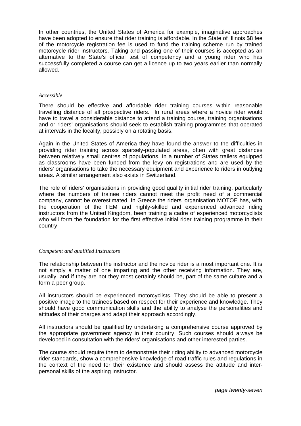In other countries, the United States of America for example, imaginative approaches have been adopted to ensure that rider training is affordable. In the State of Illinois \$8 fee of the motorcycle registration fee is used to fund the training scheme run by trained motorcycle rider instructors. Taking and passing one of their courses is accepted as an alternative to the State's official test of competency and a young rider who has successfully completed a course can get a licence up to two years earlier than normally allowed.

## *Accessible*

There should be effective and affordable rider training courses within reasonable travelling distance of all prospective riders. In rural areas where a novice rider would have to travel a considerable distance to attend a training course, training organisations and or riders' organisations should seek to establish training programmes that operated at intervals in the locality, possibly on a rotating basis.

Again in the United States of America they have found the answer to the difficulties in providing rider training across sparsely-populated areas, often with great distances between relatively small centres of populations. In a number of States trailers equipped as classrooms have been funded from the levy on registrations and are used by the riders' organisations to take the necessary equipment and experience to riders in outlying areas. A similar arrangement also exists in Switzerland.

The role of riders' organisations in providing good quality initial rider training, particularly where the numbers of trainee riders cannot meet the profit need of a commercial company, cannot be overestimated. In Greece the riders' organisation MOTOE has, with the cooperation of the FEM and highly-skilled and experienced advanced riding instructors from the United Kingdom, been training a cadre of experienced motorcyclists who will form the foundation for the first effective initial rider training programme in their country.

#### *Competent and qualified Instructors*

The relationship between the instructor and the novice rider is a most important one. It is not simply a matter of one imparting and the other receiving information. They are, usually, and if they are not they most certainly should be, part of the same culture and a form a peer group.

All instructors should be experienced motorcyclists. They should be able to present a positive image to the trainees based on respect for their experience and knowledge. They should have good communication skills and the ability to analyse the personalities and attitudes of their charges and adapt their approach accordingly.

All instructors should be qualified by undertaking a comprehensive course approved by the appropriate government agency in their country. Such courses should always be developed in consultation with the riders' organisations and other interested parties.

The course should require them to demonstrate their riding ability to advanced motorcycle rider standards, show a comprehensive knowledge of road traffic rules and regulations in the context of the need for their existence and should assess the attitude and interpersonal skills of the aspiring instructor.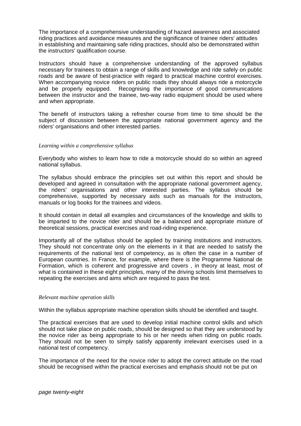The importance of a comprehensive understanding of hazard awareness and associated riding practices and avoidance measures and the significance of trainee riders' attitudes in establishing and maintaining safe riding practices, should also be demonstrated within the instructors' qualification course.

Instructors should have a comprehensive understanding of the approved syllabus necessary for trainees to obtain a range of skills and knowledge and ride safely on public roads and be aware of best-practice with regard to practical machine control exercises. When accompanying novice riders on public roads they should always ride a motorcycle and be properly equipped. Recognising the importance of good communications between the instructor and the trainee, two-way radio equipment should be used where and when appropriate.

The benefit of instructors taking a refresher course from time to time should be the subject of discussion between the appropriate national government agency and the riders' organisations and other interested parties.

## *Learning within a comprehensive syllabus*

Everybody who wishes to learn how to ride a motorcycle should do so within an agreed national syllabus.

The syllabus should embrace the principles set out within this report and should be developed and agreed in consultation with the appropriate national government agency, the riders' organisations and other interested parties. The syllabus should be comprehensive, supported by necessary aids such as manuals for the instructors, manuals or log books for the trainees and videos.

It should contain in detail all examples and circumstances of the knowledge and skills to be imparted to the novice rider and should be a balanced and appropriate mixture of theoretical sessions, practical exercises and road-riding experience.

Importantly all of the syllabus should be applied by training institutions and instructors. They should not concentrate only on the elements in it that are needed to satisfy the requirements of the national test of competency, as is often the case in a number of European countries. In France, for example, where there is the Programme National de Formation, which is coherent and progressive and covers , in theory at least, most of what is contained in these eight principles, many of the driving schools limit themselves to repeating the exercises and aims which are required to pass the test.

#### *Relevant machine operation skills*

Within the syllabus appropriate machine operation skills should be identified and taught.

The practical exercises that are used to develop initial machine control skills and which should not take place on public roads, should be designed so that they are understood by the novice rider as being appropriate to his or her needs when riding on public roads. They should not be seen to simply satisfy apparently irrelevant exercises used in a national test of competency.

The importance of the need for the novice rider to adopt the correct attitude on the road should be recognised within the practical exercises and emphasis should not be put on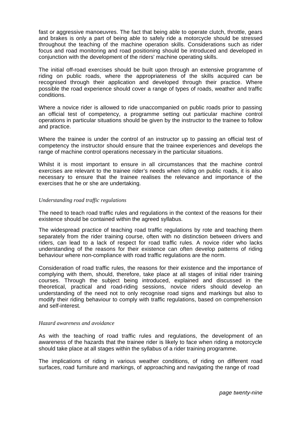fast or aggressive manoeuvres. The fact that being able to operate clutch, throttle, gears and brakes is only a part of being able to safely ride a motorcycle should be stressed throughout the teaching of the machine operation skills. Considerations such as rider focus and road monitoring and road positioning should be introduced and developed in conjunction with the development of the riders' machine operating skills.

The initial off-road exercises should be built upon through an extensive programme of riding on public roads, where the appropriateness of the skills acquired can be recognised through their application and developed through their practice. Where possible the road experience should cover a range of types of roads, weather and traffic conditions.

Where a novice rider is allowed to ride unaccompanied on public roads prior to passing an official test of competency, a programme setting out particular machine control operations in particular situations should be given by the instructor to the trainee to follow and practice.

Where the trainee is under the control of an instructor up to passing an official test of competency the instructor should ensure that the trainee experiences and develops the range of machine control operations necessary in the particular situations.

Whilst it is most important to ensure in all circumstances that the machine control exercises are relevant to the trainee rider's needs when riding on public roads, it is also necessary to ensure that the trainee realises the relevance and importance of the exercises that he or she are undertaking.

# *Understanding road traffic regulations*

The need to teach road traffic rules and regulations in the context of the reasons for their existence should be contained within the agreed syllabus.

The widespread practice of teaching road traffic regulations by rote and teaching them separately from the rider training course, often with no distinction between drivers and riders, can lead to a lack of respect for road traffic rules. A novice rider who lacks understanding of the reasons for their existence can often develop patterns of riding behaviour where non-compliance with road traffic regulations are the norm.

Consideration of road traffic rules, the reasons for their existence and the importance of complying with them, should, therefore, take place at all stages of initial rider training courses. Through the subject being introduced, explained and discussed in the theoretical, practical and road-riding sessions, novice riders should develop an understanding of the need not to only recognise road signs and markings but also to modify their riding behaviour to comply with traffic regulations, based on comprehension and self-interest.

#### *Hazard awareness and avoidance*

As with the teaching of road traffic rules and regulations, the development of an awareness of the hazards that the trainee rider is likely to face when riding a motorcycle should take place at all stages within the syllabus of a rider training programme.

The implications of riding in various weather conditions, of riding on different road surfaces, road furniture and markings, of approaching and navigating the range of road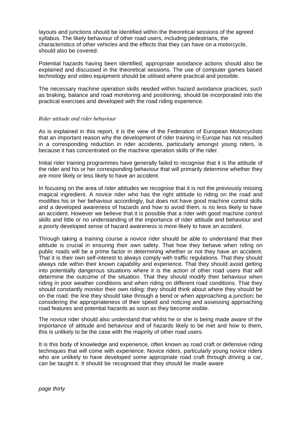layouts and junctions should be identified within the theoretical sessions of the agreed syllabus. The likely behaviour of other road users, including pedestrians, the characteristics of other vehicles and the effects that they can have on a motorcycle, should also be covered.

Potential hazards having been identified, appropriate avoidance actions should also be explained and discussed in the theoretical sessions. The use of computer games based technology and video equipment should be utilised where practical and possible.

The necessary machine operation skills needed within hazard avoidance practices, such as braking, balance and road monitoring and positioning, should be incorporated into the practical exercises and developed with the road riding experience.

## *Rider attitude and rider behaviour*

As is explained in this report, it is the view of the Federation of European Motorcyclists that an important reason why the development of rider training in Europe has not resulted in a corresponding reduction in rider accidents, particularly amongst young riders, is because it has concentrated on the machine operation skills of the rider.

Initial rider training programmes have generally failed to recognise that it is the attitude of the rider and his or her corresponding behaviour that will primarily determine whether they are more likely or less likely to have an accident.

In focusing on the area of rider attitudes we recognise that it is not the previously missing magical ingredient. A novice rider who has the right attitude to riding on the road and modifies his or her behaviour accordingly, but does not have good machine control skills and a developed awareness of hazards and how to avoid them, is no less likely to have an accident. However we believe that it is possible that a rider with good machine control skills and little or no understanding of the importance of rider attitude and behaviour and a poorly developed sense of hazard awareness is more likely to have an accident.

Through taking a training course a novice rider should be able to understand that their attitude is crucial in ensuring their own safety. That how they behave when riding on public roads will be a prime factor in determining whether or not they have an accident. That it is their own self-interest to always comply with traffic regulations. That they should always ride within their known capability and experience. That they should avoid getting into potentially dangerous situations where it is the action of other road users that will determine the outcome of the situation. That they should modify their behaviour when riding in poor weather conditions and when riding on different road conditions. That they should constantly monitor their own riding: they should think about where they should be on the road; the line they should take through a bend or when approaching a junction; be considering the appropriateness of their speed and noticing and assessing approaching road features and potential hazards as soon as they become visible.

The novice rider should also understand that whilst he or she is being made aware of the importance of attitude and behaviour and of hazards likely to be met and how to them, this is unlikely to be the case with the majority of other road users.

It is this body of knowledge and experience, often known as road craft or defensive riding techniques that will come with experience. Novice riders, particularly young novice riders who are unlikely to have developed some appropriate road craft through driving a car, can be taught it. It should be recognised that they should be made aware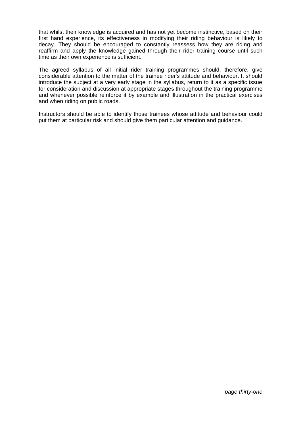that whilst their knowledge is acquired and has not yet become instinctive, based on their first hand experience, its effectiveness in modifying their riding behaviour is likely to decay. They should be encouraged to constantly reassess how they are riding and reaffirm and apply the knowledge gained through their rider training course until such time as their own experience is sufficient.

The agreed syllabus of all initial rider training programmes should, therefore, give considerable attention to the matter of the trainee rider's attitude and behaviour. It should introduce the subject at a very early stage in the syllabus, return to it as a specific issue for consideration and discussion at appropriate stages throughout the training programme and whenever possible reinforce it by example and illustration in the practical exercises and when riding on public roads.

Instructors should be able to identify those trainees whose attitude and behaviour could put them at particular risk and should give them particular attention and guidance.